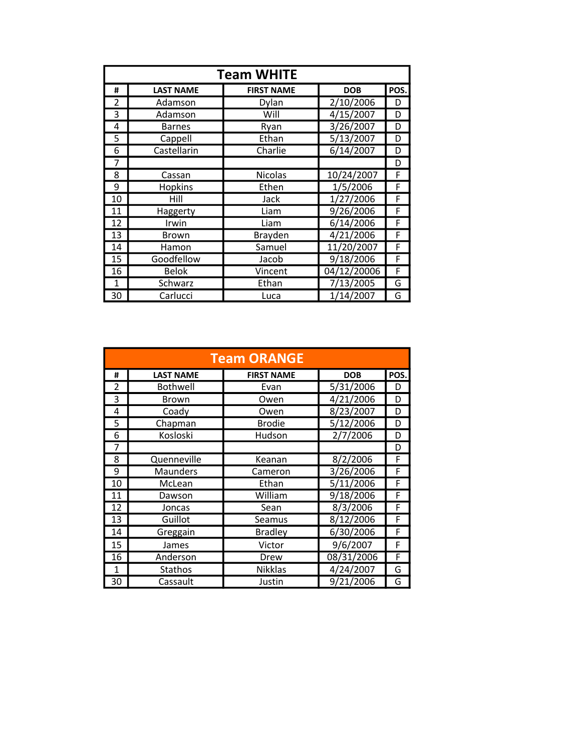| <b>Team WHITE</b>        |                  |                   |             |      |  |
|--------------------------|------------------|-------------------|-------------|------|--|
| #                        | <b>LAST NAME</b> | <b>FIRST NAME</b> | <b>DOB</b>  | POS. |  |
| $\overline{\mathcal{L}}$ | Adamson          | Dylan             | 2/10/2006   | D    |  |
| 3                        | Adamson          | Will              | 4/15/2007   | D    |  |
| 4                        | <b>Barnes</b>    | Ryan              | 3/26/2007   | D    |  |
| 5                        | Cappell          | Ethan             | 5/13/2007   | D    |  |
| 6                        | Castellarin      | Charlie           | 6/14/2007   | D    |  |
| 7                        |                  |                   |             | D    |  |
| 8                        | Cassan           | Nicolas           | 10/24/2007  | F    |  |
| 9                        | <b>Hopkins</b>   | Ethen             | 1/5/2006    | F    |  |
| 10                       | Hill             | Jack              | 1/27/2006   | F    |  |
| 11                       | Haggerty         | Liam              | 9/26/2006   | F    |  |
| 12                       | Irwin            | Liam              | 6/14/2006   | F    |  |
| 13                       | <b>Brown</b>     | Brayden           | 4/21/2006   | F    |  |
| 14                       | Hamon            | Samuel            | 11/20/2007  | F    |  |
| 15                       | Goodfellow       | Jacob             | 9/18/2006   | F    |  |
| 16                       | <b>Belok</b>     | Vincent           | 04/12/20006 | F    |  |
| 1                        | Schwarz          | Ethan             | 7/13/2005   | G    |  |
| 30                       | Carlucci         | Luca              | 1/14/2007   | G    |  |

|              | <b>Team ORANGE</b> |                   |            |      |  |  |
|--------------|--------------------|-------------------|------------|------|--|--|
| #            | <b>LAST NAME</b>   | <b>FIRST NAME</b> | <b>DOB</b> | POS. |  |  |
| 2            | <b>Bothwell</b>    | Evan              | 5/31/2006  | D    |  |  |
| 3            | Brown              | Owen              | 4/21/2006  | D    |  |  |
| 4            | Coady              | Owen              | 8/23/2007  | D    |  |  |
| 5            | Chapman            | <b>Brodie</b>     | 5/12/2006  | D    |  |  |
| 6            | Kosloski           | Hudson            | 2/7/2006   | D    |  |  |
| 7            |                    |                   |            | D    |  |  |
| 8            | Quenneville        | Keanan            | 8/2/2006   | F    |  |  |
| 9            | Maunders           | Cameron           | 3/26/2006  | F    |  |  |
| 10           | McLean             | Ethan             | 5/11/2006  | F    |  |  |
| 11           | Dawson             | William           | 9/18/2006  | F    |  |  |
| 12           | Joncas             | Sean              | 8/3/2006   | F    |  |  |
| 13           | Guillot            | Seamus            | 8/12/2006  | F    |  |  |
| 14           | Greggain           | <b>Bradley</b>    | 6/30/2006  | F    |  |  |
| 15           | James              | Victor            | 9/6/2007   | F    |  |  |
| 16           | Anderson           | Drew              | 08/31/2006 | F    |  |  |
| $\mathbf{1}$ | <b>Stathos</b>     | Nikklas           | 4/24/2007  | G    |  |  |
| 30           | Cassault           | Justin            | 9/21/2006  | G    |  |  |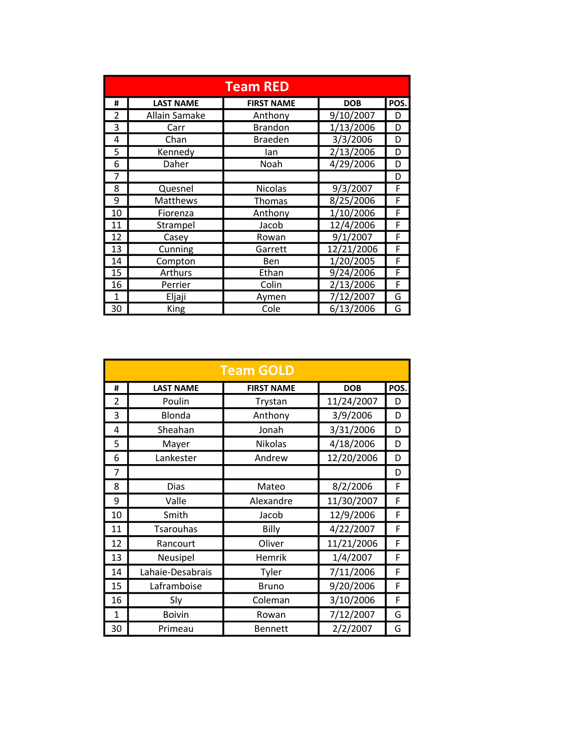|                          | <b>Team RED</b>  |                   |            |      |  |
|--------------------------|------------------|-------------------|------------|------|--|
| #                        | <b>LAST NAME</b> | <b>FIRST NAME</b> | <b>DOB</b> | POS. |  |
| $\overline{\mathcal{L}}$ | Allain Samake    | Anthony           | 9/10/2007  | D    |  |
| 3                        | Carr             | <b>Brandon</b>    | 1/13/2006  | D    |  |
| 4                        | Chan             | <b>Braeden</b>    | 3/3/2006   | D    |  |
| 5                        | Kennedy          | lan               | 2/13/2006  | D    |  |
| 6                        | Daher            | Noah              | 4/29/2006  | D    |  |
| 7                        |                  |                   |            | D    |  |
| 8                        | Quesnel          | <b>Nicolas</b>    | 9/3/2007   | F    |  |
| 9                        | Matthews         | <b>Thomas</b>     | 8/25/2006  | F    |  |
| 10                       | Fiorenza         | Anthony           | 1/10/2006  | F    |  |
| 11                       | Strampel         | Jacob             | 12/4/2006  | F    |  |
| 12                       | Casey            | Rowan             | 9/1/2007   | F    |  |
| 13                       | Cunning          | Garrett           | 12/21/2006 | F    |  |
| 14                       | Compton          | Ben               | 1/20/2005  | F    |  |
| 15                       | Arthurs          | Ethan             | 9/24/2006  | F    |  |
| 16                       | Perrier          | Colin             | 2/13/2006  | F    |  |
| 1                        | Eljaji           | Aymen             | 7/12/2007  | G    |  |
| 30                       | King             | Cole              | 6/13/2006  | G    |  |

|                          |                  | <b>Team GOLD</b>  |            |      |
|--------------------------|------------------|-------------------|------------|------|
| #                        | <b>LAST NAME</b> | <b>FIRST NAME</b> | <b>DOB</b> | POS. |
| $\overline{\mathcal{L}}$ | Poulin           | Trystan           | 11/24/2007 | D    |
| 3                        | Blonda           | Anthony           | 3/9/2006   | D    |
| 4                        | Sheahan          | Jonah             | 3/31/2006  | D    |
| 5                        | Mayer            | <b>Nikolas</b>    | 4/18/2006  | D    |
| 6                        | Lankester        | Andrew            | 12/20/2006 | D    |
| 7                        |                  |                   |            | D    |
| 8                        | <b>Dias</b>      | Mateo             | 8/2/2006   | F    |
| 9                        | Valle            | Alexandre         | 11/30/2007 | F    |
| 10                       | Smith            | Jacob             | 12/9/2006  | F    |
| 11                       | <b>Tsarouhas</b> | Billy             | 4/22/2007  | F    |
| 12                       | Rancourt         | Oliver            | 11/21/2006 | F    |
| 13                       | Neusipel         | Hemrik            | 1/4/2007   | F    |
| 14                       | Lahaie-Desabrais | Tyler             | 7/11/2006  | F    |
| 15                       | Laframboise      | <b>Bruno</b>      | 9/20/2006  | F    |
| 16                       | Sly              | Coleman           | 3/10/2006  | F    |
| $\mathbf{1}$             | <b>Boivin</b>    | Rowan             | 7/12/2007  | G    |
| 30                       | Primeau          | <b>Bennett</b>    | 2/2/2007   | G    |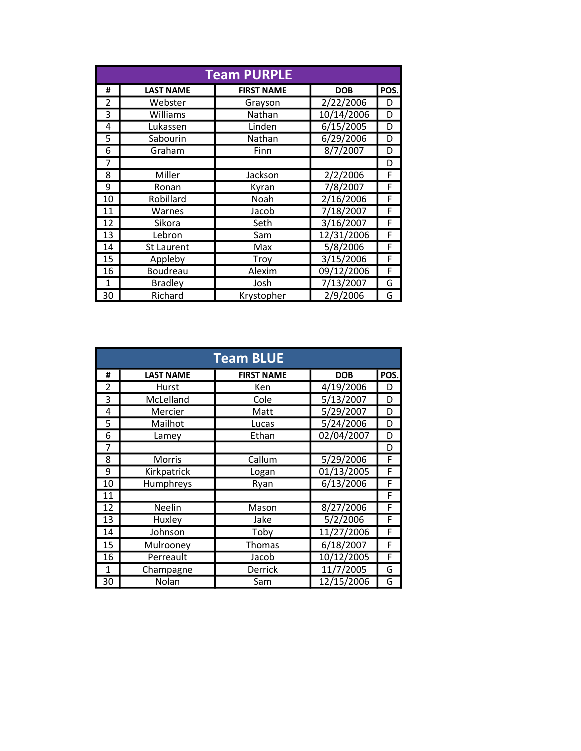|                          |                   | <b>Team PURPLE</b> |            |      |
|--------------------------|-------------------|--------------------|------------|------|
| #                        | <b>LAST NAME</b>  | <b>FIRST NAME</b>  | <b>DOB</b> | POS. |
| $\overline{\mathcal{L}}$ | Webster           | Grayson            | 2/22/2006  | D    |
| 3                        | Williams          | Nathan             | 10/14/2006 | D    |
| 4                        | Lukassen          | Linden             | 6/15/2005  | D    |
| 5                        | Sabourin          | Nathan             | 6/29/2006  | D    |
| 6                        | Graham            | Finn               | 8/7/2007   | D    |
| 7                        |                   |                    |            | D    |
| 8                        | Miller            | Jackson            | 2/2/2006   | F    |
| 9                        | Ronan             | Kyran              | 7/8/2007   | F    |
| 10                       | Robillard         | Noah               | 2/16/2006  | F    |
| 11                       | Warnes            | Jacob              | 7/18/2007  | F    |
| 12                       | Sikora            | Seth               | 3/16/2007  | F    |
| 13                       | Lebron            | Sam                | 12/31/2006 | F    |
| 14                       | <b>St Laurent</b> | Max                | 5/8/2006   | F    |
| 15                       | Appleby           | Troy               | 3/15/2006  | F    |
| 16                       | Boudreau          | Alexim             | 09/12/2006 | F    |
| 1                        | <b>Bradley</b>    | Josh               | 7/13/2007  | G    |
| 30                       | Richard           | Krystopher         | 2/9/2006   | G    |

| <b>Team BLUE</b> |                  |                   |                        |      |  |
|------------------|------------------|-------------------|------------------------|------|--|
| #                | <b>LAST NAME</b> | <b>FIRST NAME</b> | <b>DOB</b>             | POS. |  |
| $\overline{2}$   | Hurst            | Ken               | $\frac{1}{4}$ /19/2006 | D    |  |
| 3                | McLelland        | Cole              | $5/\overline{13/2007}$ | D    |  |
| 4                | Mercier          | Matt              | 5/29/2007              | D    |  |
| 5                | Mailhot          | Lucas             | 5/24/2006              | D    |  |
| 6                | Lamey            | Ethan             | 02/04/2007             | D    |  |
| 7                |                  |                   |                        | D    |  |
| 8                | <b>Morris</b>    | Callum            | 5/29/2006              | F    |  |
| 9                | Kirkpatrick      | Logan             | 01/13/2005             | F    |  |
| 10               | Humphreys        | Ryan              | 6/13/2006              | F    |  |
| 11               |                  |                   |                        | F    |  |
| 12               | Neelin           | Mason             | 8/27/2006              | F    |  |
| 13               | Huxley           | Jake              | 5/2/2006               | F    |  |
| 14               | Johnson          | Toby              | 11/27/2006             | F    |  |
| 15               | Mulrooney        | Thomas            | 6/18/2007              | F    |  |
| 16               | Perreault        | Jacob             | 10/12/2005             | F    |  |
| $\mathbf{1}$     | Champagne        | Derrick           | 11/7/2005              | G    |  |
| 30               | Nolan            | Sam               | 12/15/2006             | G    |  |